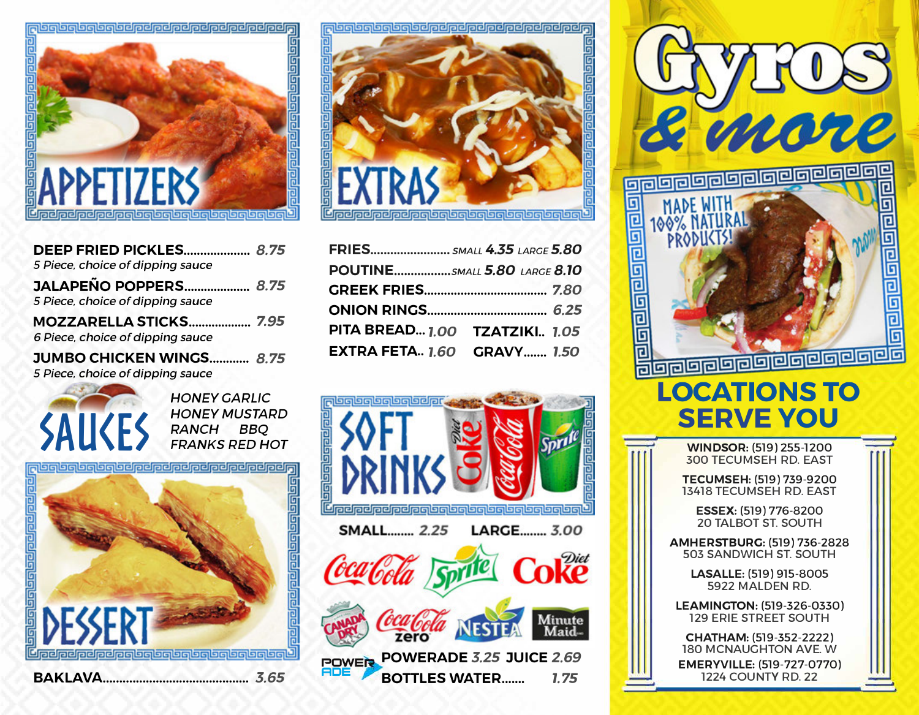

| <b>DEEP FRIED PICKLES 8.75</b><br>5 Piece, choice of dipping sauce |  |
|--------------------------------------------------------------------|--|
| <b>JALAPEÑO POPPERS 8.75</b><br>5 Piece, choice of dipping sauce   |  |
| 6 Piece, choice of dipping sauce                                   |  |
| <b>JUMBO CHICKEN WINGS 8.75</b>                                    |  |

*5 Piece, choice of dipping sauce* 



*HONEY GARLIC HONEY MUSTARD RANCH BBQ FRANKS RED HOT* 



<u> Updpelpelpelpelselselselselselselselsel</u>

茴

苘

| FRIES SMALL 4.35 LARGE 5.80       |  |
|-----------------------------------|--|
| POUTINE5MALL 5.80 LARGE 8.10      |  |
|                                   |  |
|                                   |  |
| PITA BREAD 1.00 TZATZIKI 1.05     |  |
| <b>EXTRA FETA 1.60 GRAVY 1.50</b> |  |





**CHATHAM:** (519-352-2222) 180 MCNAUGHTON AVE. W **EMERYVILLE:** (519-727-0770) 1224 COUNTY RD. 22

**BAKLAVA ............................................ 3.65**